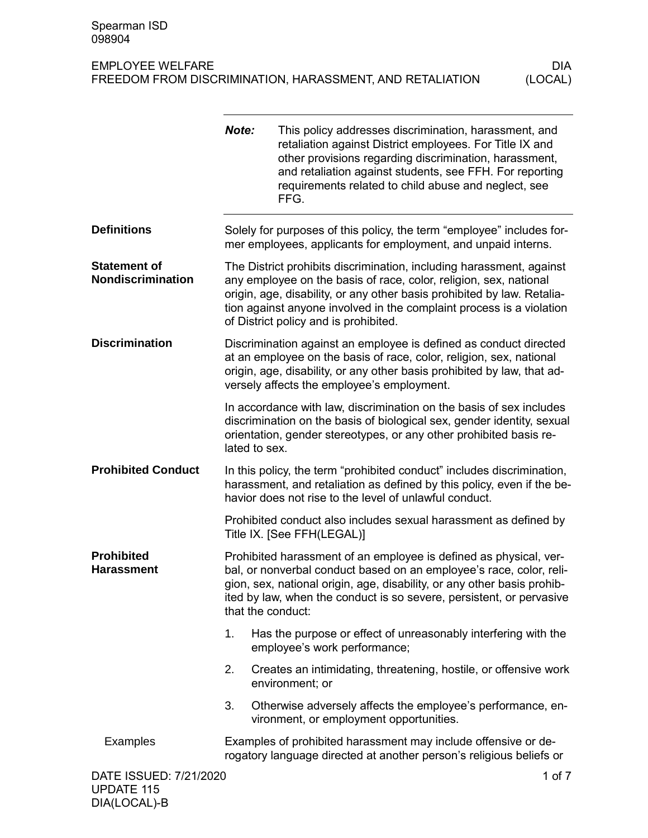DIA(LOCAL)-B

|                                                 | Note:                                                                                                                                                                                                                                                                                                                                 | This policy addresses discrimination, harassment, and<br>retaliation against District employees. For Title IX and<br>other provisions regarding discrimination, harassment,<br>and retaliation against students, see FFH. For reporting<br>requirements related to child abuse and neglect, see<br>FFG. |  |
|-------------------------------------------------|---------------------------------------------------------------------------------------------------------------------------------------------------------------------------------------------------------------------------------------------------------------------------------------------------------------------------------------|---------------------------------------------------------------------------------------------------------------------------------------------------------------------------------------------------------------------------------------------------------------------------------------------------------|--|
| <b>Definitions</b>                              |                                                                                                                                                                                                                                                                                                                                       | Solely for purposes of this policy, the term "employee" includes for-<br>mer employees, applicants for employment, and unpaid interns.                                                                                                                                                                  |  |
| <b>Statement of</b><br><b>Nondiscrimination</b> | The District prohibits discrimination, including harassment, against<br>any employee on the basis of race, color, religion, sex, national<br>origin, age, disability, or any other basis prohibited by law. Retalia-<br>tion against anyone involved in the complaint process is a violation<br>of District policy and is prohibited. |                                                                                                                                                                                                                                                                                                         |  |
| <b>Discrimination</b>                           | Discrimination against an employee is defined as conduct directed<br>at an employee on the basis of race, color, religion, sex, national<br>origin, age, disability, or any other basis prohibited by law, that ad-<br>versely affects the employee's employment.                                                                     |                                                                                                                                                                                                                                                                                                         |  |
|                                                 | lated to sex.                                                                                                                                                                                                                                                                                                                         | In accordance with law, discrimination on the basis of sex includes<br>discrimination on the basis of biological sex, gender identity, sexual<br>orientation, gender stereotypes, or any other prohibited basis re-                                                                                     |  |
| <b>Prohibited Conduct</b>                       | In this policy, the term "prohibited conduct" includes discrimination,<br>harassment, and retaliation as defined by this policy, even if the be-<br>havior does not rise to the level of unlawful conduct.                                                                                                                            |                                                                                                                                                                                                                                                                                                         |  |
|                                                 |                                                                                                                                                                                                                                                                                                                                       | Prohibited conduct also includes sexual harassment as defined by<br>Title IX. [See FFH(LEGAL)]                                                                                                                                                                                                          |  |
| <b>Prohibited</b><br><b>Harassment</b>          | Prohibited harassment of an employee is defined as physical, ver-<br>bal, or nonverbal conduct based on an employee's race, color, reli-<br>gion, sex, national origin, age, disability, or any other basis prohib-<br>ited by law, when the conduct is so severe, persistent, or pervasive<br>that the conduct:                      |                                                                                                                                                                                                                                                                                                         |  |
|                                                 | 1.                                                                                                                                                                                                                                                                                                                                    | Has the purpose or effect of unreasonably interfering with the<br>employee's work performance;                                                                                                                                                                                                          |  |
|                                                 | 2.                                                                                                                                                                                                                                                                                                                                    | Creates an intimidating, threatening, hostile, or offensive work<br>environment; or                                                                                                                                                                                                                     |  |
|                                                 | 3.                                                                                                                                                                                                                                                                                                                                    | Otherwise adversely affects the employee's performance, en-<br>vironment, or employment opportunities.                                                                                                                                                                                                  |  |
| Examples                                        |                                                                                                                                                                                                                                                                                                                                       | Examples of prohibited harassment may include offensive or de-<br>rogatory language directed at another person's religious beliefs or                                                                                                                                                                   |  |
| DATE ISSUED: 7/21/2020<br><b>UPDATE 115</b>     |                                                                                                                                                                                                                                                                                                                                       | 1 of 7                                                                                                                                                                                                                                                                                                  |  |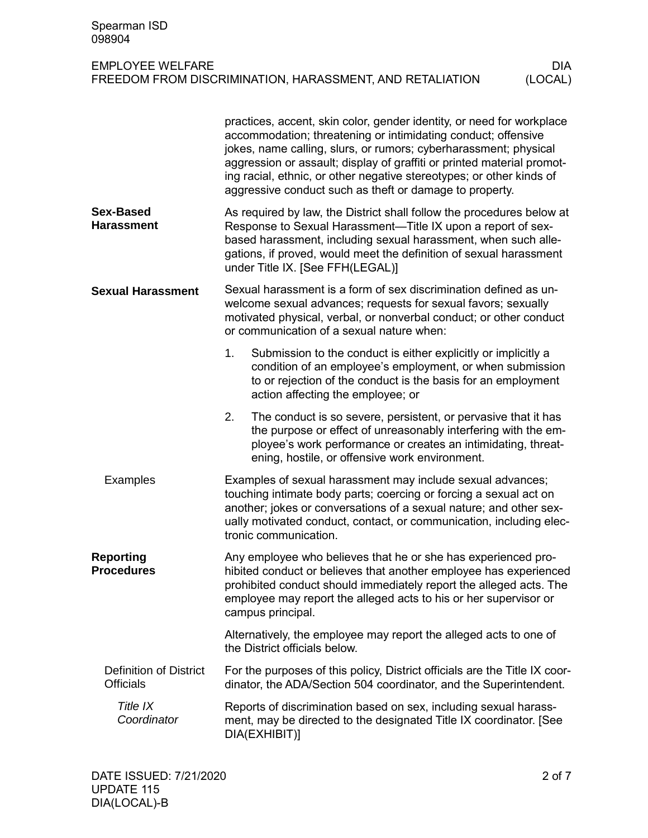| EMPLOYEE WELFARE                                         | DIA     |
|----------------------------------------------------------|---------|
| FREEDOM FROM DISCRIMINATION, HARASSMENT, AND RETALIATION | (LOCAL) |

|                                                   | practices, accent, skin color, gender identity, or need for workplace<br>accommodation; threatening or intimidating conduct; offensive<br>jokes, name calling, slurs, or rumors; cyberharassment; physical<br>aggression or assault; display of graffiti or printed material promot-<br>ing racial, ethnic, or other negative stereotypes; or other kinds of<br>aggressive conduct such as theft or damage to property. |  |  |
|---------------------------------------------------|-------------------------------------------------------------------------------------------------------------------------------------------------------------------------------------------------------------------------------------------------------------------------------------------------------------------------------------------------------------------------------------------------------------------------|--|--|
| <b>Sex-Based</b><br><b>Harassment</b>             | As required by law, the District shall follow the procedures below at<br>Response to Sexual Harassment—Title IX upon a report of sex-<br>based harassment, including sexual harassment, when such alle-<br>gations, if proved, would meet the definition of sexual harassment<br>under Title IX. [See FFH(LEGAL)]                                                                                                       |  |  |
| <b>Sexual Harassment</b>                          | Sexual harassment is a form of sex discrimination defined as un-<br>welcome sexual advances; requests for sexual favors; sexually<br>motivated physical, verbal, or nonverbal conduct; or other conduct<br>or communication of a sexual nature when:                                                                                                                                                                    |  |  |
|                                                   | 1.<br>Submission to the conduct is either explicitly or implicitly a<br>condition of an employee's employment, or when submission<br>to or rejection of the conduct is the basis for an employment<br>action affecting the employee; or                                                                                                                                                                                 |  |  |
|                                                   | 2.<br>The conduct is so severe, persistent, or pervasive that it has<br>the purpose or effect of unreasonably interfering with the em-<br>ployee's work performance or creates an intimidating, threat-<br>ening, hostile, or offensive work environment.                                                                                                                                                               |  |  |
| Examples                                          | Examples of sexual harassment may include sexual advances;<br>touching intimate body parts; coercing or forcing a sexual act on<br>another; jokes or conversations of a sexual nature; and other sex-<br>ually motivated conduct, contact, or communication, including elec-<br>tronic communication.                                                                                                                   |  |  |
| <b>Reporting</b><br><b>Procedures</b>             | Any employee who believes that he or she has experienced pro-<br>hibited conduct or believes that another employee has experienced<br>prohibited conduct should immediately report the alleged acts. The<br>employee may report the alleged acts to his or her supervisor or<br>campus principal.                                                                                                                       |  |  |
|                                                   | Alternatively, the employee may report the alleged acts to one of<br>the District officials below.                                                                                                                                                                                                                                                                                                                      |  |  |
| <b>Definition of District</b><br><b>Officials</b> | For the purposes of this policy, District officials are the Title IX coor-<br>dinator, the ADA/Section 504 coordinator, and the Superintendent.                                                                                                                                                                                                                                                                         |  |  |
| Title IX<br>Coordinator                           | Reports of discrimination based on sex, including sexual harass-<br>ment, may be directed to the designated Title IX coordinator. [See<br>DIA(EXHIBIT)]                                                                                                                                                                                                                                                                 |  |  |

(LOCAL)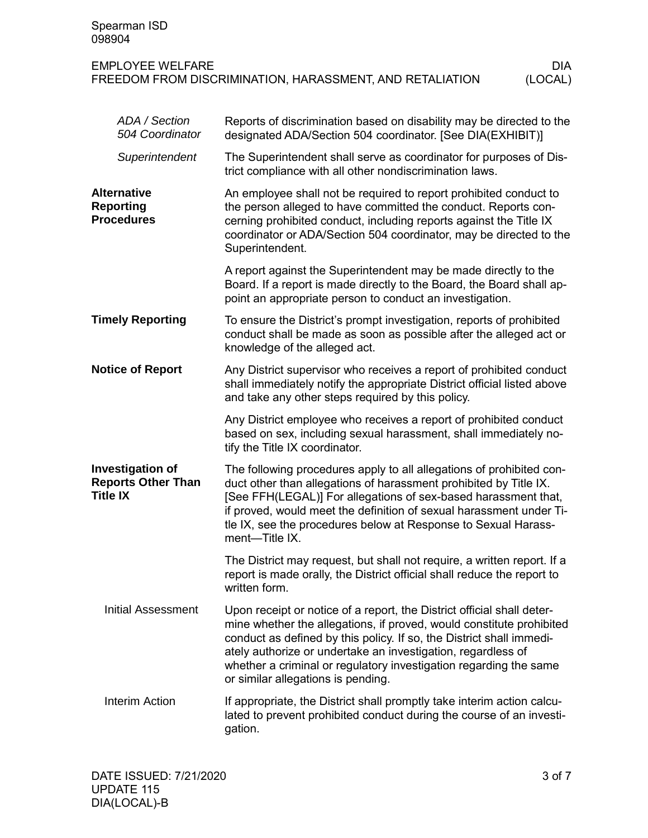| Spearman ISD<br>098904                                                  |                                                                                                                                                                                                                                                                                                                                                                                                   |
|-------------------------------------------------------------------------|---------------------------------------------------------------------------------------------------------------------------------------------------------------------------------------------------------------------------------------------------------------------------------------------------------------------------------------------------------------------------------------------------|
| <b>EMPLOYEE WELFARE</b>                                                 | <b>DIA</b><br>FREEDOM FROM DISCRIMINATION, HARASSMENT, AND RETALIATION<br>(LOCAL)                                                                                                                                                                                                                                                                                                                 |
| ADA / Section<br>504 Coordinator                                        | Reports of discrimination based on disability may be directed to the<br>designated ADA/Section 504 coordinator. [See DIA(EXHIBIT)]                                                                                                                                                                                                                                                                |
| Superintendent                                                          | The Superintendent shall serve as coordinator for purposes of Dis-<br>trict compliance with all other nondiscrimination laws.                                                                                                                                                                                                                                                                     |
| <b>Alternative</b><br><b>Reporting</b><br><b>Procedures</b>             | An employee shall not be required to report prohibited conduct to<br>the person alleged to have committed the conduct. Reports con-<br>cerning prohibited conduct, including reports against the Title IX<br>coordinator or ADA/Section 504 coordinator, may be directed to the<br>Superintendent.                                                                                                |
|                                                                         | A report against the Superintendent may be made directly to the<br>Board. If a report is made directly to the Board, the Board shall ap-<br>point an appropriate person to conduct an investigation.                                                                                                                                                                                              |
| <b>Timely Reporting</b>                                                 | To ensure the District's prompt investigation, reports of prohibited<br>conduct shall be made as soon as possible after the alleged act or<br>knowledge of the alleged act.                                                                                                                                                                                                                       |
| <b>Notice of Report</b>                                                 | Any District supervisor who receives a report of prohibited conduct<br>shall immediately notify the appropriate District official listed above<br>and take any other steps required by this policy.                                                                                                                                                                                               |
|                                                                         | Any District employee who receives a report of prohibited conduct<br>based on sex, including sexual harassment, shall immediately no-<br>tify the Title IX coordinator.                                                                                                                                                                                                                           |
| <b>Investigation of</b><br><b>Reports Other Than</b><br><b>Title IX</b> | The following procedures apply to all allegations of prohibited con-<br>duct other than allegations of harassment prohibited by Title IX.<br>[See FFH(LEGAL)] For allegations of sex-based harassment that,<br>if proved, would meet the definition of sexual harassment under Ti-<br>tle IX, see the procedures below at Response to Sexual Harass-<br>ment-Title IX.                            |
|                                                                         | The District may request, but shall not require, a written report. If a<br>report is made orally, the District official shall reduce the report to<br>written form.                                                                                                                                                                                                                               |
| <b>Initial Assessment</b>                                               | Upon receipt or notice of a report, the District official shall deter-<br>mine whether the allegations, if proved, would constitute prohibited<br>conduct as defined by this policy. If so, the District shall immedi-<br>ately authorize or undertake an investigation, regardless of<br>whether a criminal or regulatory investigation regarding the same<br>or similar allegations is pending. |
| <b>Interim Action</b>                                                   | If appropriate, the District shall promptly take interim action calcu-<br>lated to prevent prohibited conduct during the course of an investi-<br>gation.                                                                                                                                                                                                                                         |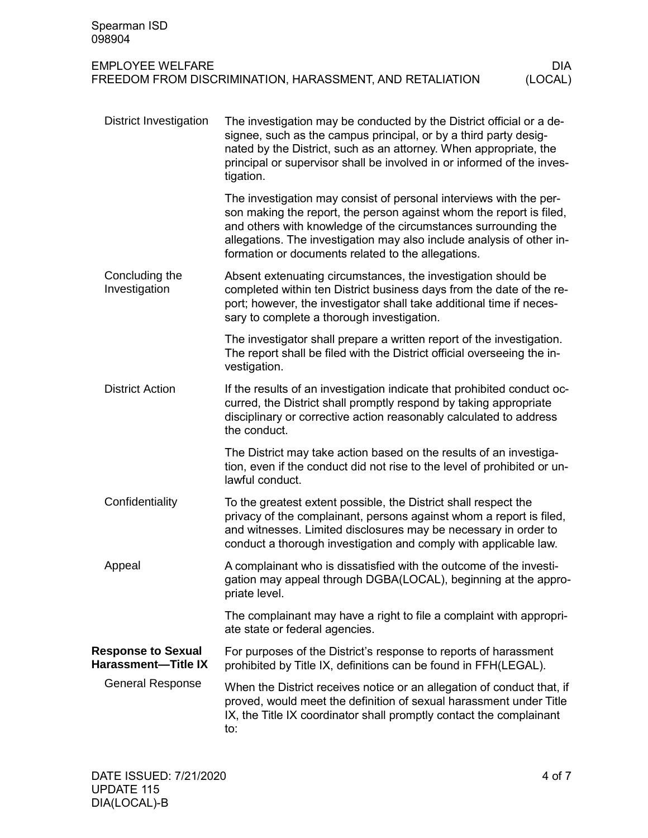| Spearman ISD<br>098904                                  |                                                                                                                                                                                                                                                                                                                                            |  |  |
|---------------------------------------------------------|--------------------------------------------------------------------------------------------------------------------------------------------------------------------------------------------------------------------------------------------------------------------------------------------------------------------------------------------|--|--|
| <b>EMPLOYEE WELFARE</b>                                 | <b>DIA</b><br>FREEDOM FROM DISCRIMINATION, HARASSMENT, AND RETALIATION<br>(LOCAL)                                                                                                                                                                                                                                                          |  |  |
| <b>District Investigation</b>                           | The investigation may be conducted by the District official or a de-<br>signee, such as the campus principal, or by a third party desig-<br>nated by the District, such as an attorney. When appropriate, the<br>principal or supervisor shall be involved in or informed of the inves-<br>tigation.                                       |  |  |
|                                                         | The investigation may consist of personal interviews with the per-<br>son making the report, the person against whom the report is filed,<br>and others with knowledge of the circumstances surrounding the<br>allegations. The investigation may also include analysis of other in-<br>formation or documents related to the allegations. |  |  |
| Concluding the<br>Investigation                         | Absent extenuating circumstances, the investigation should be<br>completed within ten District business days from the date of the re-<br>port; however, the investigator shall take additional time if neces-<br>sary to complete a thorough investigation.                                                                                |  |  |
|                                                         | The investigator shall prepare a written report of the investigation.<br>The report shall be filed with the District official overseeing the in-<br>vestigation.                                                                                                                                                                           |  |  |
| <b>District Action</b>                                  | If the results of an investigation indicate that prohibited conduct oc-<br>curred, the District shall promptly respond by taking appropriate<br>disciplinary or corrective action reasonably calculated to address<br>the conduct.                                                                                                         |  |  |
|                                                         | The District may take action based on the results of an investiga-<br>tion, even if the conduct did not rise to the level of prohibited or un-<br>lawful conduct.                                                                                                                                                                          |  |  |
| Confidentiality                                         | To the greatest extent possible, the District shall respect the<br>privacy of the complainant, persons against whom a report is filed,<br>and witnesses. Limited disclosures may be necessary in order to<br>conduct a thorough investigation and comply with applicable law.                                                              |  |  |
| Appeal                                                  | A complainant who is dissatisfied with the outcome of the investi-<br>gation may appeal through DGBA(LOCAL), beginning at the appro-<br>priate level.                                                                                                                                                                                      |  |  |
|                                                         | The complainant may have a right to file a complaint with appropri-<br>ate state or federal agencies.                                                                                                                                                                                                                                      |  |  |
| <b>Response to Sexual</b><br><b>Harassment-Title IX</b> | For purposes of the District's response to reports of harassment<br>prohibited by Title IX, definitions can be found in FFH(LEGAL).                                                                                                                                                                                                        |  |  |
| <b>General Response</b>                                 | When the District receives notice or an allegation of conduct that, if<br>proved, would meet the definition of sexual harassment under Title<br>IX, the Title IX coordinator shall promptly contact the complainant<br>to:                                                                                                                 |  |  |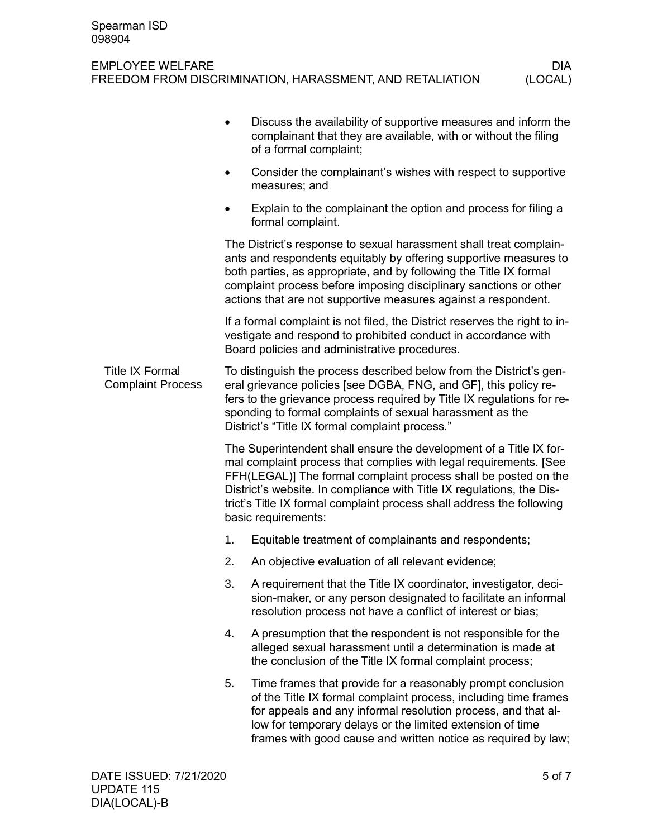|                                                    |                                                                                                                                                                                                                                                                                                                                                      | Discuss the availability of supportive measures and inform the<br>complainant that they are available, with or without the filing<br>of a formal complaint;                                                                                                                                                                                                                         |  |
|----------------------------------------------------|------------------------------------------------------------------------------------------------------------------------------------------------------------------------------------------------------------------------------------------------------------------------------------------------------------------------------------------------------|-------------------------------------------------------------------------------------------------------------------------------------------------------------------------------------------------------------------------------------------------------------------------------------------------------------------------------------------------------------------------------------|--|
|                                                    |                                                                                                                                                                                                                                                                                                                                                      | Consider the complainant's wishes with respect to supportive<br>measures; and                                                                                                                                                                                                                                                                                                       |  |
|                                                    |                                                                                                                                                                                                                                                                                                                                                      | Explain to the complainant the option and process for filing a<br>formal complaint.                                                                                                                                                                                                                                                                                                 |  |
|                                                    | The District's response to sexual harassment shall treat complain-<br>ants and respondents equitably by offering supportive measures to<br>both parties, as appropriate, and by following the Title IX formal<br>complaint process before imposing disciplinary sanctions or other<br>actions that are not supportive measures against a respondent. |                                                                                                                                                                                                                                                                                                                                                                                     |  |
|                                                    |                                                                                                                                                                                                                                                                                                                                                      | If a formal complaint is not filed, the District reserves the right to in-<br>vestigate and respond to prohibited conduct in accordance with<br>Board policies and administrative procedures.                                                                                                                                                                                       |  |
| <b>Title IX Formal</b><br><b>Complaint Process</b> | To distinguish the process described below from the District's gen-<br>eral grievance policies [see DGBA, FNG, and GF], this policy re-<br>fers to the grievance process required by Title IX regulations for re-<br>sponding to formal complaints of sexual harassment as the<br>District's "Title IX formal complaint process."                    |                                                                                                                                                                                                                                                                                                                                                                                     |  |
|                                                    |                                                                                                                                                                                                                                                                                                                                                      | The Superintendent shall ensure the development of a Title IX for-<br>mal complaint process that complies with legal requirements. [See<br>FFH(LEGAL)] The formal complaint process shall be posted on the<br>District's website. In compliance with Title IX regulations, the Dis-<br>trict's Title IX formal complaint process shall address the following<br>basic requirements: |  |
|                                                    | 1.                                                                                                                                                                                                                                                                                                                                                   | Equitable treatment of complainants and respondents;                                                                                                                                                                                                                                                                                                                                |  |
|                                                    | 2.                                                                                                                                                                                                                                                                                                                                                   | An objective evaluation of all relevant evidence;                                                                                                                                                                                                                                                                                                                                   |  |
|                                                    | 3.                                                                                                                                                                                                                                                                                                                                                   | A requirement that the Title IX coordinator, investigator, deci-<br>sion-maker, or any person designated to facilitate an informal<br>resolution process not have a conflict of interest or bias;                                                                                                                                                                                   |  |
|                                                    | 4.                                                                                                                                                                                                                                                                                                                                                   | A presumption that the respondent is not responsible for the<br>alleged sexual harassment until a determination is made at<br>the conclusion of the Title IX formal complaint process;                                                                                                                                                                                              |  |
|                                                    | 5.                                                                                                                                                                                                                                                                                                                                                   | Time frames that provide for a reasonably prompt conclusion<br>of the Title IX formal complaint process, including time frames<br>for appeals and any informal resolution process, and that al-<br>low for temporary delays or the limited extension of time<br>frames with good cause and written notice as required by law;                                                       |  |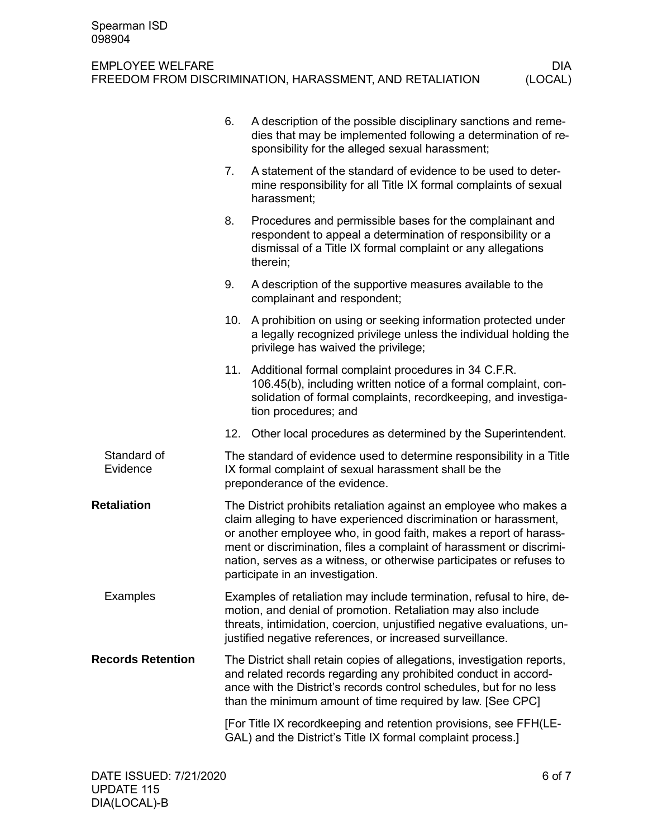|                          | 6. | A description of the possible disciplinary sanctions and reme-<br>dies that may be implemented following a determination of re-<br>sponsibility for the alleged sexual harassment;                                                                                                                                                                                                              |  |
|--------------------------|----|-------------------------------------------------------------------------------------------------------------------------------------------------------------------------------------------------------------------------------------------------------------------------------------------------------------------------------------------------------------------------------------------------|--|
|                          | 7. | A statement of the standard of evidence to be used to deter-<br>mine responsibility for all Title IX formal complaints of sexual<br>harassment;                                                                                                                                                                                                                                                 |  |
|                          | 8. | Procedures and permissible bases for the complainant and<br>respondent to appeal a determination of responsibility or a<br>dismissal of a Title IX formal complaint or any allegations<br>therein;                                                                                                                                                                                              |  |
|                          | 9. | A description of the supportive measures available to the<br>complainant and respondent;                                                                                                                                                                                                                                                                                                        |  |
|                          |    | 10. A prohibition on using or seeking information protected under<br>a legally recognized privilege unless the individual holding the<br>privilege has waived the privilege;                                                                                                                                                                                                                    |  |
|                          |    | 11. Additional formal complaint procedures in 34 C.F.R.<br>106.45(b), including written notice of a formal complaint, con-<br>solidation of formal complaints, recordkeeping, and investiga-<br>tion procedures; and                                                                                                                                                                            |  |
|                          |    | 12. Other local procedures as determined by the Superintendent.                                                                                                                                                                                                                                                                                                                                 |  |
| Standard of<br>Evidence  |    | The standard of evidence used to determine responsibility in a Title<br>IX formal complaint of sexual harassment shall be the<br>preponderance of the evidence.                                                                                                                                                                                                                                 |  |
| <b>Retaliation</b>       |    | The District prohibits retaliation against an employee who makes a<br>claim alleging to have experienced discrimination or harassment,<br>or another employee who, in good faith, makes a report of harass-<br>ment or discrimination, files a complaint of harassment or discrimi-<br>nation, serves as a witness, or otherwise participates or refuses to<br>participate in an investigation. |  |
| Examples                 |    | Examples of retaliation may include termination, refusal to hire, de-<br>motion, and denial of promotion. Retaliation may also include<br>threats, intimidation, coercion, unjustified negative evaluations, un-<br>justified negative references, or increased surveillance.                                                                                                                   |  |
| <b>Records Retention</b> |    | The District shall retain copies of allegations, investigation reports,<br>and related records regarding any prohibited conduct in accord-<br>ance with the District's records control schedules, but for no less<br>than the minimum amount of time required by law. [See CPC]                                                                                                                 |  |
|                          |    | [For Title IX recordkeeping and retention provisions, see FFH(LE-<br>GAL) and the District's Title IX formal complaint process.]                                                                                                                                                                                                                                                                |  |